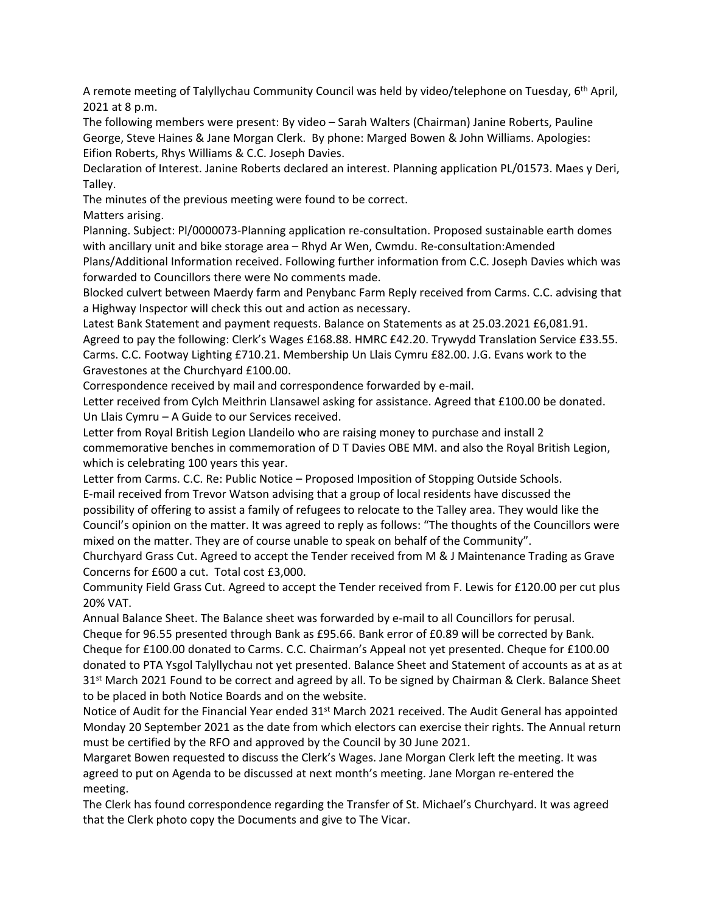A remote meeting of Talyllychau Community Council was held by video/telephone on Tuesday, 6<sup>th</sup> April, 2021 at 8 p.m.

The following members were present: By video – Sarah Walters (Chairman) Janine Roberts, Pauline George, Steve Haines & Jane Morgan Clerk. By phone: Marged Bowen & John Williams. Apologies: Eifion Roberts, Rhys Williams & C.C. Joseph Davies.

Declaration of Interest. Janine Roberts declared an interest. Planning application PL/01573. Maes y Deri, Talley.

The minutes of the previous meeting were found to be correct.

Matters arising.

Planning. Subject: Pl/0000073-Planning application re-consultation. Proposed sustainable earth domes with ancillary unit and bike storage area – Rhyd Ar Wen, Cwmdu. Re-consultation:Amended Plans/Additional Information received. Following further information from C.C. Joseph Davies which was

forwarded to Councillors there were No comments made. Blocked culvert between Maerdy farm and Penybanc Farm Reply received from Carms. C.C. advising that a Highway Inspector will check this out and action as necessary.

Latest Bank Statement and payment requests. Balance on Statements as at 25.03.2021 £6,081.91. Agreed to pay the following: Clerk's Wages £168.88. HMRC £42.20. Trywydd Translation Service £33.55. Carms. C.C. Footway Lighting £710.21. Membership Un Llais Cymru £82.00. J.G. Evans work to the Gravestones at the Churchyard £100.00.

Correspondence received by mail and correspondence forwarded by e-mail.

Letter received from Cylch Meithrin Llansawel asking for assistance. Agreed that £100.00 be donated. Un Llais Cymru – A Guide to our Services received.

Letter from Royal British Legion Llandeilo who are raising money to purchase and install 2 commemorative benches in commemoration of D T Davies OBE MM. and also the Royal British Legion, which is celebrating 100 years this year.

Letter from Carms. C.C. Re: Public Notice – Proposed Imposition of Stopping Outside Schools. E-mail received from Trevor Watson advising that a group of local residents have discussed the possibility of offering to assist a family of refugees to relocate to the Talley area. They would like the Council's opinion on the matter. It was agreed to reply as follows: "The thoughts of the Councillors were mixed on the matter. They are of course unable to speak on behalf of the Community".

Churchyard Grass Cut. Agreed to accept the Tender received from M & J Maintenance Trading as Grave Concerns for £600 a cut. Total cost £3,000.

Community Field Grass Cut. Agreed to accept the Tender received from F. Lewis for £120.00 per cut plus 20% VAT.

Annual Balance Sheet. The Balance sheet was forwarded by e-mail to all Councillors for perusal.

Cheque for 96.55 presented through Bank as £95.66. Bank error of £0.89 will be corrected by Bank. Cheque for £100.00 donated to Carms. C.C. Chairman's Appeal not yet presented. Cheque for £100.00 donated to PTA Ysgol Talyllychau not yet presented. Balance Sheet and Statement of accounts as at as at 31<sup>st</sup> March 2021 Found to be correct and agreed by all. To be signed by Chairman & Clerk. Balance Sheet to be placed in both Notice Boards and on the website.

Notice of Audit for the Financial Year ended 31<sup>st</sup> March 2021 received. The Audit General has appointed Monday 20 September 2021 as the date from which electors can exercise their rights. The Annual return must be certified by the RFO and approved by the Council by 30 June 2021.

Margaret Bowen requested to discuss the Clerk's Wages. Jane Morgan Clerk left the meeting. It was agreed to put on Agenda to be discussed at next month's meeting. Jane Morgan re-entered the meeting.

The Clerk has found correspondence regarding the Transfer of St. Michael's Churchyard. It was agreed that the Clerk photo copy the Documents and give to The Vicar.